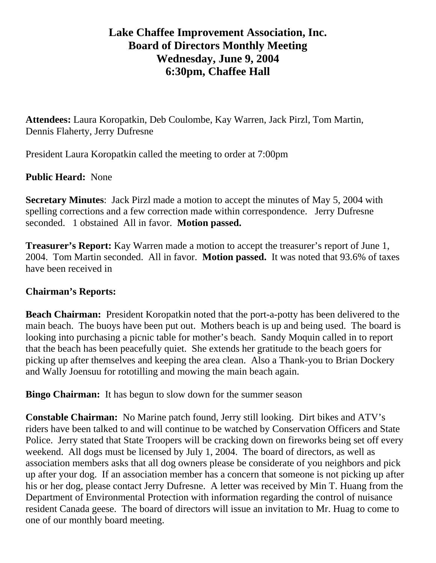## **Lake Chaffee Improvement Association, Inc. Board of Directors Monthly Meeting Wednesday, June 9, 2004 6:30pm, Chaffee Hall**

**Attendees:** Laura Koropatkin, Deb Coulombe, Kay Warren, Jack Pirzl, Tom Martin, Dennis Flaherty, Jerry Dufresne

President Laura Koropatkin called the meeting to order at 7:00pm

## **Public Heard:** None

**Secretary Minutes**: Jack Pirzl made a motion to accept the minutes of May 5, 2004 with spelling corrections and a few correction made within correspondence. Jerry Dufresne seconded. 1 obstained All in favor. **Motion passed.** 

**Treasurer's Report:** Kay Warren made a motion to accept the treasurer's report of June 1, 2004. Tom Martin seconded. All in favor. **Motion passed.** It was noted that 93.6% of taxes have been received in

## **Chairman's Reports:**

**Beach Chairman:** President Koropatkin noted that the port-a-potty has been delivered to the main beach. The buoys have been put out. Mothers beach is up and being used. The board is looking into purchasing a picnic table for mother's beach. Sandy Moquin called in to report that the beach has been peacefully quiet. She extends her gratitude to the beach goers for picking up after themselves and keeping the area clean. Also a Thank-you to Brian Dockery and Wally Joensuu for rototilling and mowing the main beach again.

**Bingo Chairman:** It has begun to slow down for the summer season

**Constable Chairman:** No Marine patch found, Jerry still looking.Dirt bikes and ATV's riders have been talked to and will continue to be watched by Conservation Officers and State Police. Jerry stated that State Troopers will be cracking down on fireworks being set off every weekend. All dogs must be licensed by July 1, 2004. The board of directors, as well as association members asks that all dog owners please be considerate of you neighbors and pick up after your dog. If an association member has a concern that someone is not picking up after his or her dog, please contact Jerry Dufresne. A letter was received by Min T. Huang from the Department of Environmental Protection with information regarding the control of nuisance resident Canada geese. The board of directors will issue an invitation to Mr. Huag to come to one of our monthly board meeting.